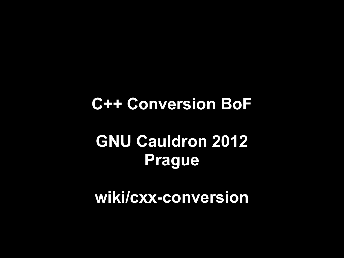# **C++ Conversion BoF GNU Cauldron 2012 Prague**

**wiki/cxx-conversion**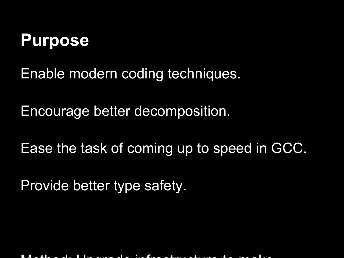#### **Purpose**

Enable modern coding techniques.

Encourage better decomposition.

Ease the task of coming up to speed in GCC.

Provide better type safety.

Method: Upgrade infrastructure to make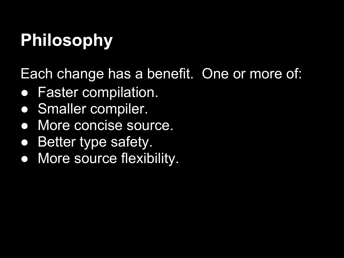# **Philosophy**

Each change has a benefit. One or more of:

- Faster compilation.
- Smaller compiler.
- More concise source.
- **Better type safety.**
- More source flexibility.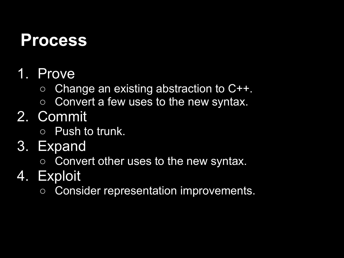#### **Process**

- 1. Prove
	- Change an existing abstraction to C++.
	- Convert a few uses to the new syntax.
- 2. Commit
	- Push to trunk.
- 3. Expand
	- Convert other uses to the new syntax.
- 4. Exploit
	- Consider representation improvements.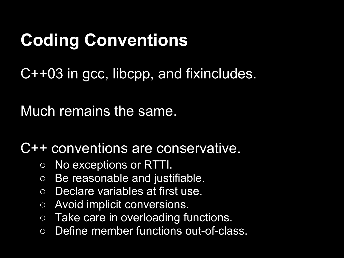# **Coding Conventions**

C++03 in gcc, libcpp, and fixincludes.

Much remains the same.

C++ conventions are conservative.

- No exceptions or RTTI.
- Be reasonable and justifiable.
- Declare variables at first use.
- Avoid implicit conversions.
- Take care in overloading functions.
- Define member functions out-of-class.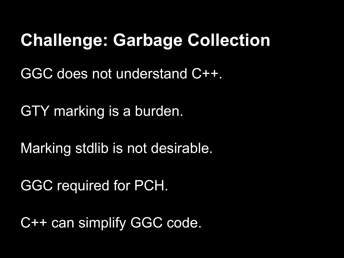### **Challenge: Garbage Collection**

GGC does not understand C++.

GTY marking is a burden.

Marking stdlib is not desirable.

GGC required for PCH.

C++ can simplify GGC code.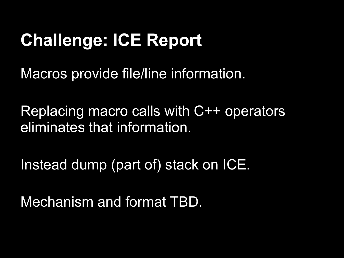## **Challenge: ICE Report**

Macros provide file/line information.

Replacing macro calls with C++ operators eliminates that information.

Instead dump (part of) stack on ICE.

Mechanism and format TBD.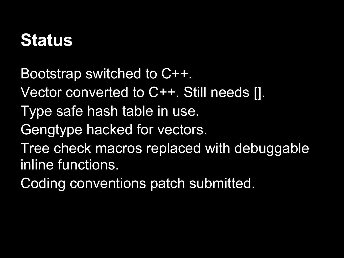### **Status**

Bootstrap switched to C++. Vector converted to C++. Still needs []. Type safe hash table in use. Gengtype hacked for vectors. Tree check macros replaced with debuggable inline functions. Coding conventions patch submitted.